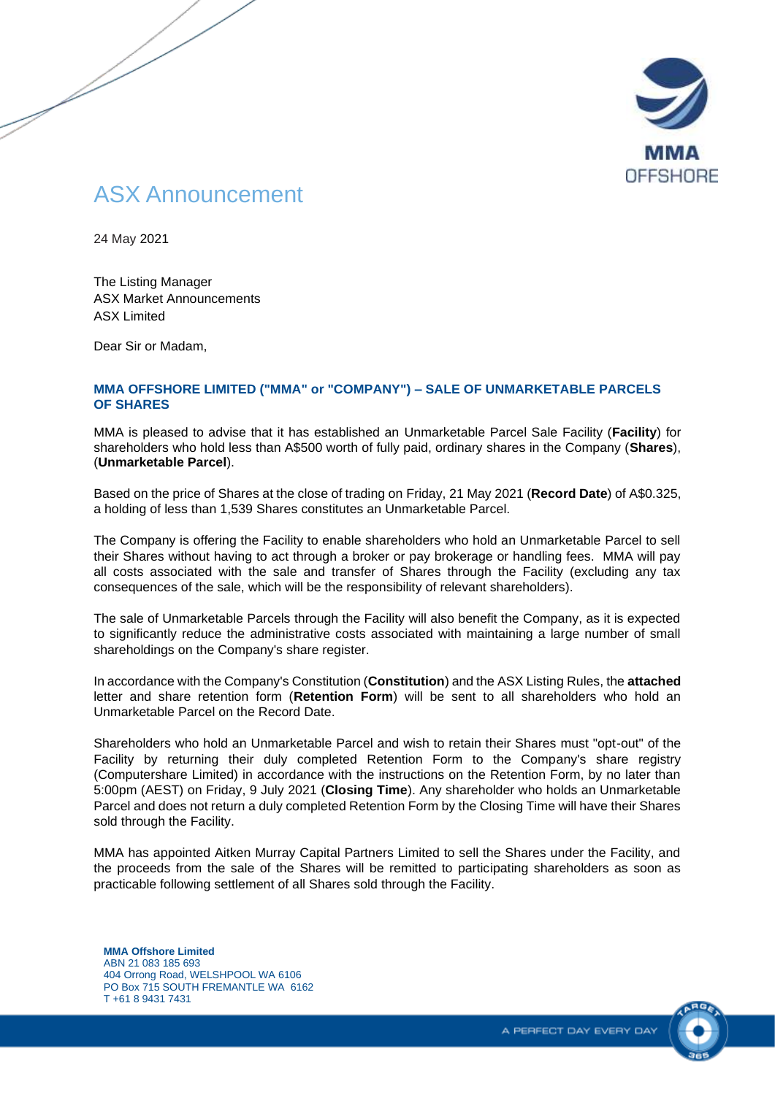

# ASX Announcement

24 May 2021

The Listing Manager ASX Market Announcements ASX Limited

Dear Sir or Madam,

#### **MMA OFFSHORE LIMITED ("MMA" or "COMPANY") – SALE OF UNMARKETABLE PARCELS OF SHARES**

MMA is pleased to advise that it has established an Unmarketable Parcel Sale Facility (**Facility**) for shareholders who hold less than A\$500 worth of fully paid, ordinary shares in the Company (**Shares**), (**Unmarketable Parcel**).

Based on the price of Shares at the close of trading on Friday, 21 May 2021 (**Record Date**) of A\$0.325, a holding of less than 1,539 Shares constitutes an Unmarketable Parcel.

The Company is offering the Facility to enable shareholders who hold an Unmarketable Parcel to sell their Shares without having to act through a broker or pay brokerage or handling fees. MMA will pay all costs associated with the sale and transfer of Shares through the Facility (excluding any tax consequences of the sale, which will be the responsibility of relevant shareholders).

The sale of Unmarketable Parcels through the Facility will also benefit the Company, as it is expected to significantly reduce the administrative costs associated with maintaining a large number of small shareholdings on the Company's share register.

In accordance with the Company's Constitution (**Constitution**) and the ASX Listing Rules, the **attached** letter and share retention form (**Retention Form**) will be sent to all shareholders who hold an Unmarketable Parcel on the Record Date.

Shareholders who hold an Unmarketable Parcel and wish to retain their Shares must "opt-out" of the Facility by returning their duly completed Retention Form to the Company's share registry (Computershare Limited) in accordance with the instructions on the Retention Form, by no later than 5:00pm (AEST) on Friday, 9 July 2021 (**Closing Time**). Any shareholder who holds an Unmarketable Parcel and does not return a duly completed Retention Form by the Closing Time will have their Shares sold through the Facility.

MMA has appointed Aitken Murray Capital Partners Limited to sell the Shares under the Facility, and the proceeds from the sale of the Shares will be remitted to participating shareholders as soon as practicable following settlement of all Shares sold through the Facility.

**MMA Offshore Limited** ABN 21 083 185 693 404 Orrong Road, WELSHPOOL WA 6106 PO Box 715 SOUTH FREMANTLE WA 6162 T +61 8 9431 7431

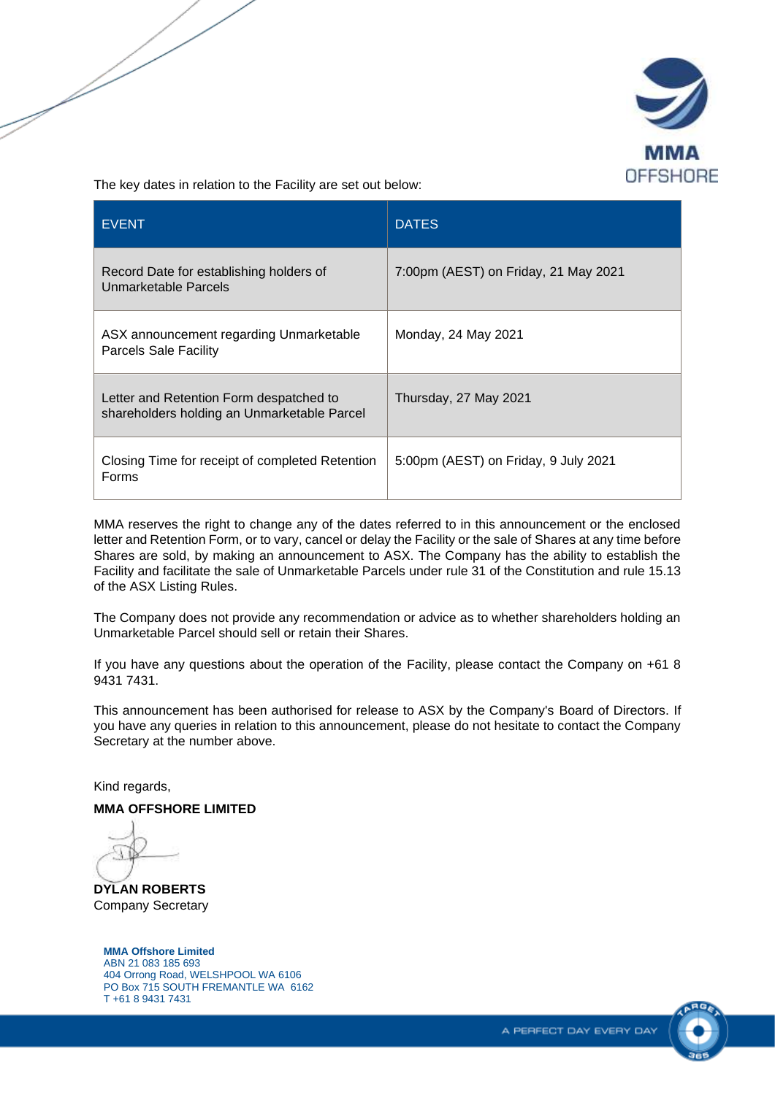

The key dates in relation to the Facility are set out below:

| <b>EVENT</b>                                                                           | <b>DATES</b>                         |  |
|----------------------------------------------------------------------------------------|--------------------------------------|--|
| Record Date for establishing holders of<br>Unmarketable Parcels                        | 7:00pm (AEST) on Friday, 21 May 2021 |  |
| ASX announcement regarding Unmarketable<br><b>Parcels Sale Facility</b>                | Monday, 24 May 2021                  |  |
| Letter and Retention Form despatched to<br>shareholders holding an Unmarketable Parcel | Thursday, 27 May 2021                |  |
| Closing Time for receipt of completed Retention<br>Forms                               | 5:00pm (AEST) on Friday, 9 July 2021 |  |

MMA reserves the right to change any of the dates referred to in this announcement or the enclosed letter and Retention Form, or to vary, cancel or delay the Facility or the sale of Shares at any time before Shares are sold, by making an announcement to ASX. The Company has the ability to establish the Facility and facilitate the sale of Unmarketable Parcels under rule 31 of the Constitution and rule 15.13 of the ASX Listing Rules.

The Company does not provide any recommendation or advice as to whether shareholders holding an Unmarketable Parcel should sell or retain their Shares.

If you have any questions about the operation of the Facility, please contact the Company on +61 8 9431 7431.

This announcement has been authorised for release to ASX by the Company's Board of Directors. If you have any queries in relation to this announcement, please do not hesitate to contact the Company Secretary at the number above.

Kind regards,

**MMA OFFSHORE LIMITED**

**DYLAN ROBERTS** Company Secretary

#### **MMA Offshore Limited** ABN 21 083 185 693

404 Orrong Road, WELSHPOOL WA 6106 PO Box 715 SOUTH FREMANTLE WA 6162 T +61 8 9431 7431

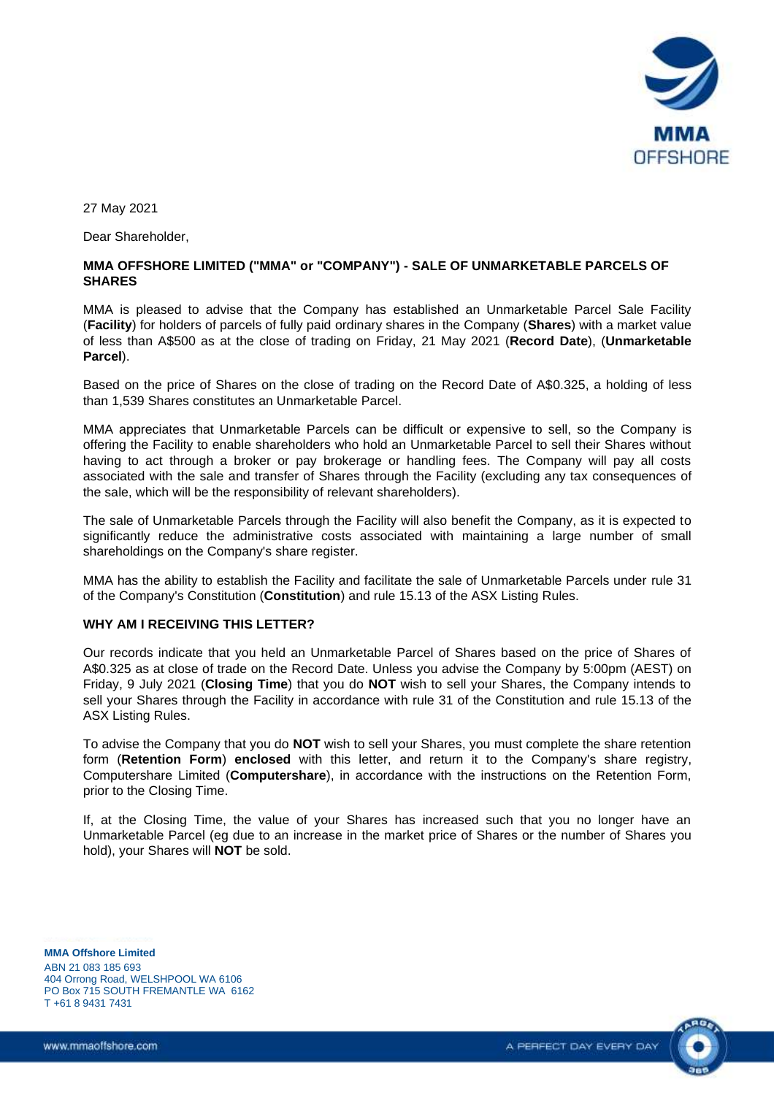

27 May 2021

Dear Shareholder,

#### **MMA OFFSHORE LIMITED ("MMA" or "COMPANY") - SALE OF UNMARKETABLE PARCELS OF SHARES**

MMA is pleased to advise that the Company has established an Unmarketable Parcel Sale Facility (**Facility**) for holders of parcels of fully paid ordinary shares in the Company (**Shares**) with a market value of less than A\$500 as at the close of trading on Friday, 21 May 2021 (**Record Date**), (**Unmarketable Parcel**).

Based on the price of Shares on the close of trading on the Record Date of A\$0.325, a holding of less than 1,539 Shares constitutes an Unmarketable Parcel.

MMA appreciates that Unmarketable Parcels can be difficult or expensive to sell, so the Company is offering the Facility to enable shareholders who hold an Unmarketable Parcel to sell their Shares without having to act through a broker or pay brokerage or handling fees. The Company will pay all costs associated with the sale and transfer of Shares through the Facility (excluding any tax consequences of the sale, which will be the responsibility of relevant shareholders).

The sale of Unmarketable Parcels through the Facility will also benefit the Company, as it is expected to significantly reduce the administrative costs associated with maintaining a large number of small shareholdings on the Company's share register.

MMA has the ability to establish the Facility and facilitate the sale of Unmarketable Parcels under rule 31 of the Company's Constitution (**Constitution**) and rule 15.13 of the ASX Listing Rules.

#### **WHY AM I RECEIVING THIS LETTER?**

Our records indicate that you held an Unmarketable Parcel of Shares based on the price of Shares of A\$0.325 as at close of trade on the Record Date. Unless you advise the Company by 5:00pm (AEST) on Friday, 9 July 2021 (**Closing Time**) that you do **NOT** wish to sell your Shares, the Company intends to sell your Shares through the Facility in accordance with rule 31 of the Constitution and rule 15.13 of the ASX Listing Rules.

To advise the Company that you do **NOT** wish to sell your Shares, you must complete the share retention form (**Retention Form**) **enclosed** with this letter, and return it to the Company's share registry, Computershare Limited (**Computershare**), in accordance with the instructions on the Retention Form, prior to the Closing Time.

If, at the Closing Time, the value of your Shares has increased such that you no longer have an Unmarketable Parcel (eg due to an increase in the market price of Shares or the number of Shares you hold), your Shares will **NOT** be sold.

**MMA Offshore Limited**

ABN 21 083 185 693 404 Orrong Road, WELSHPOOL WA 6106 PO Box 715 SOUTH FREMANTLE WA 6162 T +61 8 9431 7431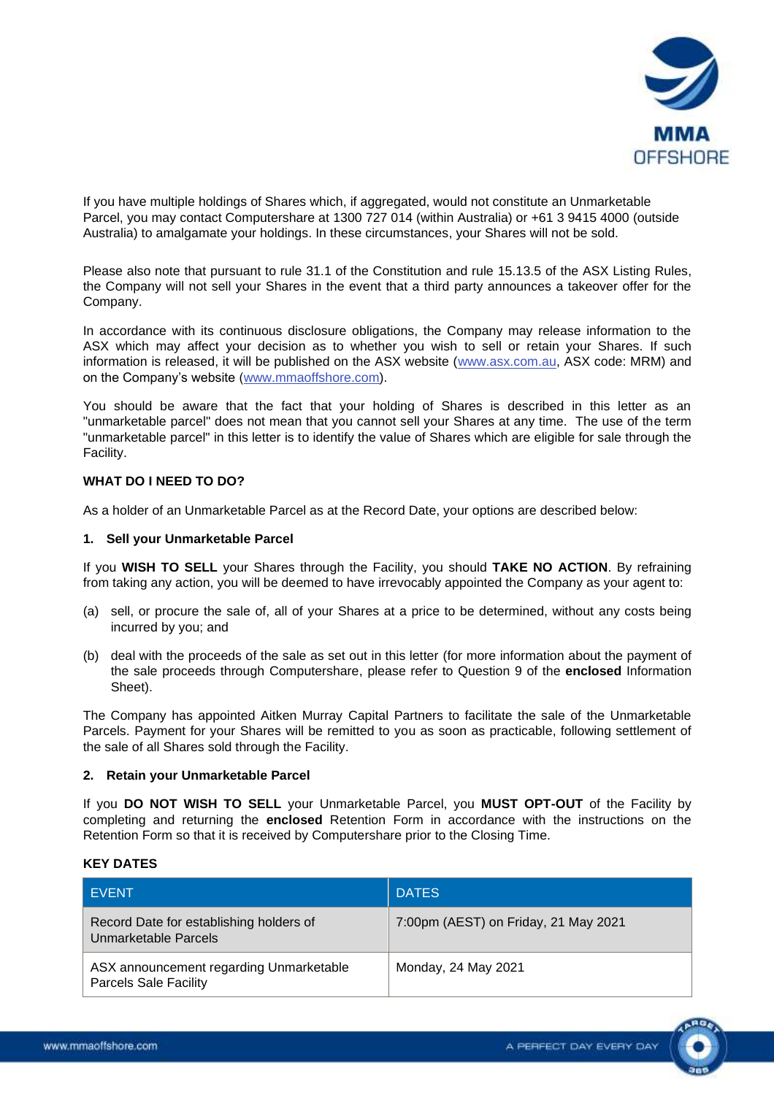

If you have multiple holdings of Shares which, if aggregated, would not constitute an Unmarketable Parcel, you may contact Computershare at 1300 727 014 (within Australia) or +61 3 9415 4000 (outside Australia) to amalgamate your holdings. In these circumstances, your Shares will not be sold.

Please also note that pursuant to rule 31.1 of the Constitution and rule 15.13.5 of the ASX Listing Rules, the Company will not sell your Shares in the event that a third party announces a takeover offer for the Company.

In accordance with its continuous disclosure obligations, the Company may release information to the ASX which may affect your decision as to whether you wish to sell or retain your Shares. If such information is released, it will be published on the ASX website [\(www.asx.com.au,](http://www.asx.com.au/) ASX code: MRM) and on the Company's website [\(www.mmaoffshore.com\)](http://www.mmaoffshore.com/).

You should be aware that the fact that your holding of Shares is described in this letter as an "unmarketable parcel" does not mean that you cannot sell your Shares at any time. The use of the term "unmarketable parcel" in this letter is to identify the value of Shares which are eligible for sale through the Facility.

#### **WHAT DO I NEED TO DO?**

As a holder of an Unmarketable Parcel as at the Record Date, your options are described below:

#### **1. Sell your Unmarketable Parcel**

If you **WISH TO SELL** your Shares through the Facility, you should **TAKE NO ACTION**. By refraining from taking any action, you will be deemed to have irrevocably appointed the Company as your agent to:

- (a) sell, or procure the sale of, all of your Shares at a price to be determined, without any costs being incurred by you; and
- (b) deal with the proceeds of the sale as set out in this letter (for more information about the payment of the sale proceeds through Computershare, please refer to Question 9 of the **enclosed** Information Sheet).

The Company has appointed Aitken Murray Capital Partners to facilitate the sale of the Unmarketable Parcels. Payment for your Shares will be remitted to you as soon as practicable, following settlement of the sale of all Shares sold through the Facility.

#### **2. Retain your Unmarketable Parcel**

If you **DO NOT WISH TO SELL** your Unmarketable Parcel, you **MUST OPT-OUT** of the Facility by completing and returning the **enclosed** Retention Form in accordance with the instructions on the Retention Form so that it is received by Computershare prior to the Closing Time.

#### **KEY DATES**

| I EVENT                                                                 | <b>DATES</b>                         |
|-------------------------------------------------------------------------|--------------------------------------|
| Record Date for establishing holders of<br>Unmarketable Parcels         | 7:00pm (AEST) on Friday, 21 May 2021 |
| ASX announcement regarding Unmarketable<br><b>Parcels Sale Facility</b> | Monday, 24 May 2021                  |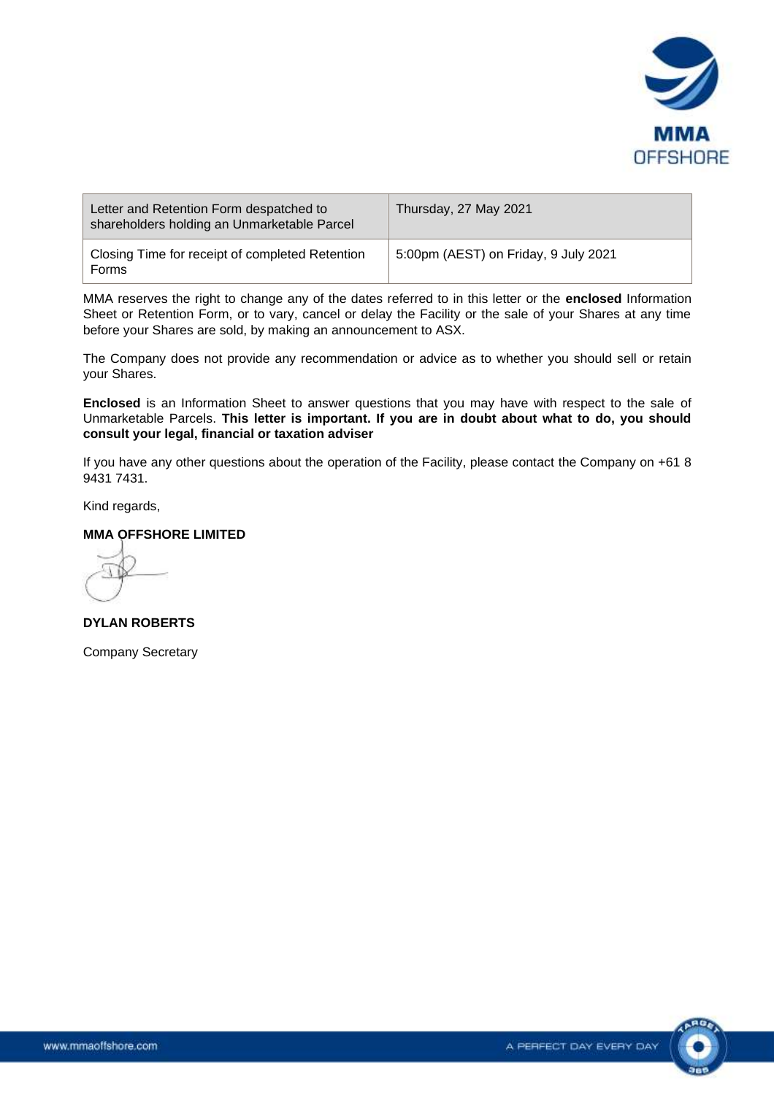

| Letter and Retention Form despatched to<br>shareholders holding an Unmarketable Parcel | Thursday, 27 May 2021                |
|----------------------------------------------------------------------------------------|--------------------------------------|
| Closing Time for receipt of completed Retention<br>Forms                               | 5:00pm (AEST) on Friday, 9 July 2021 |

MMA reserves the right to change any of the dates referred to in this letter or the **enclosed** Information Sheet or Retention Form, or to vary, cancel or delay the Facility or the sale of your Shares at any time before your Shares are sold, by making an announcement to ASX.

The Company does not provide any recommendation or advice as to whether you should sell or retain your Shares.

**Enclosed** is an Information Sheet to answer questions that you may have with respect to the sale of Unmarketable Parcels. **This letter is important. If you are in doubt about what to do, you should consult your legal, financial or taxation adviser**

If you have any other questions about the operation of the Facility, please contact the Company on +61 8 9431 7431.

Kind regards,

### **MMA OFFSHORE LIMITED**

**DYLAN ROBERTS**

Company Secretary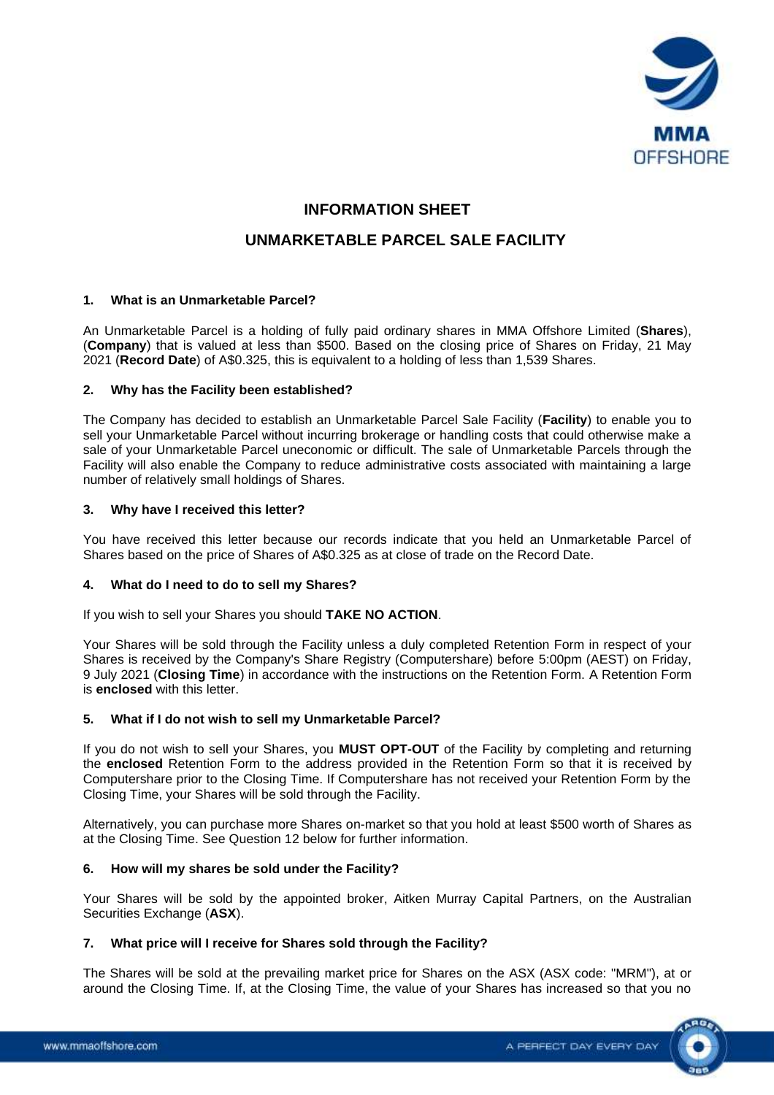

# **INFORMATION SHEET**

# **UNMARKETABLE PARCEL SALE FACILITY**

#### **1. What is an Unmarketable Parcel?**

An Unmarketable Parcel is a holding of fully paid ordinary shares in MMA Offshore Limited (**Shares**), (**Company**) that is valued at less than \$500. Based on the closing price of Shares on Friday, 21 May 2021 (**Record Date**) of A\$0.325, this is equivalent to a holding of less than 1,539 Shares.

#### **2. Why has the Facility been established?**

The Company has decided to establish an Unmarketable Parcel Sale Facility (**Facility**) to enable you to sell your Unmarketable Parcel without incurring brokerage or handling costs that could otherwise make a sale of your Unmarketable Parcel uneconomic or difficult. The sale of Unmarketable Parcels through the Facility will also enable the Company to reduce administrative costs associated with maintaining a large number of relatively small holdings of Shares.

#### **3. Why have I received this letter?**

You have received this letter because our records indicate that you held an Unmarketable Parcel of Shares based on the price of Shares of A\$0.325 as at close of trade on the Record Date.

#### **4. What do I need to do to sell my Shares?**

If you wish to sell your Shares you should **TAKE NO ACTION**.

Your Shares will be sold through the Facility unless a duly completed Retention Form in respect of your Shares is received by the Company's Share Registry (Computershare) before 5:00pm (AEST) on Friday, 9 July 2021 (**Closing Time**) in accordance with the instructions on the Retention Form. A Retention Form is **enclosed** with this letter.

#### **5. What if I do not wish to sell my Unmarketable Parcel?**

If you do not wish to sell your Shares, you **MUST OPT-OUT** of the Facility by completing and returning the **enclosed** Retention Form to the address provided in the Retention Form so that it is received by Computershare prior to the Closing Time. If Computershare has not received your Retention Form by the Closing Time, your Shares will be sold through the Facility.

Alternatively, you can purchase more Shares on-market so that you hold at least \$500 worth of Shares as at the Closing Time. See Question [12](#page-6-0) below for further information.

#### **6. How will my shares be sold under the Facility?**

Your Shares will be sold by the appointed broker, Aitken Murray Capital Partners, on the Australian Securities Exchange (**ASX**).

#### **7. What price will I receive for Shares sold through the Facility?**

The Shares will be sold at the prevailing market price for Shares on the ASX (ASX code: "MRM"), at or around the Closing Time. If, at the Closing Time, the value of your Shares has increased so that you no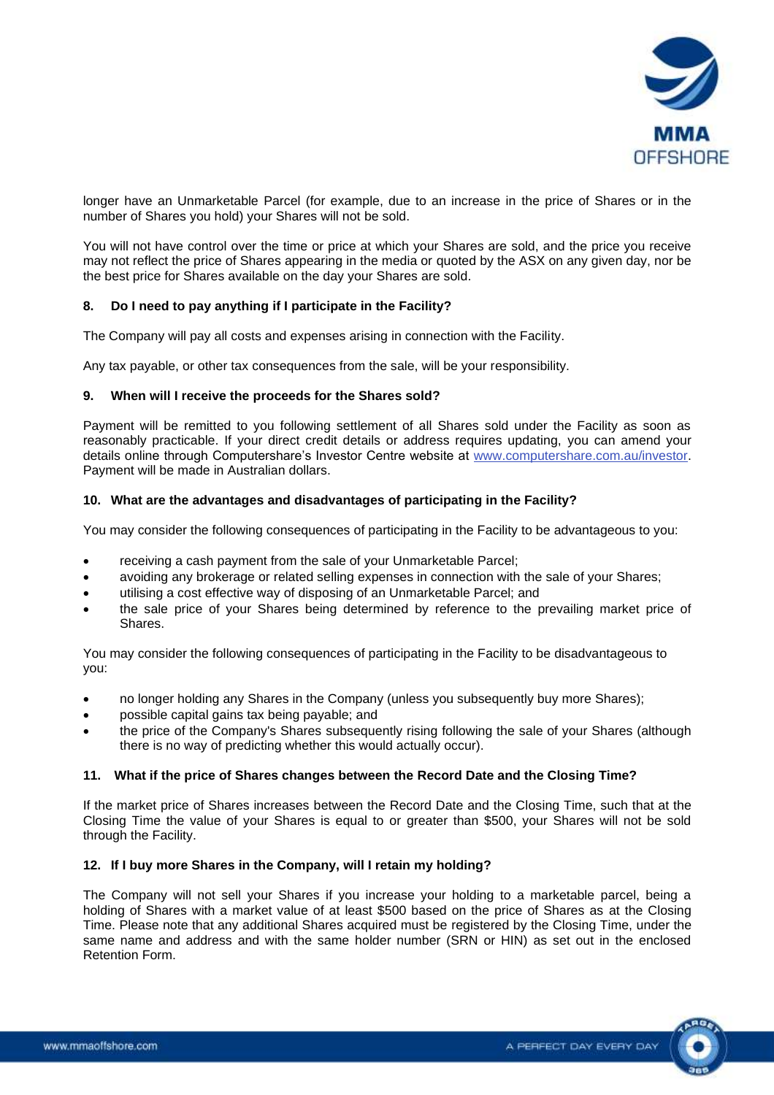

longer have an Unmarketable Parcel (for example, due to an increase in the price of Shares or in the number of Shares you hold) your Shares will not be sold.

You will not have control over the time or price at which your Shares are sold, and the price you receive may not reflect the price of Shares appearing in the media or quoted by the ASX on any given day, nor be the best price for Shares available on the day your Shares are sold.

#### **8. Do I need to pay anything if I participate in the Facility?**

The Company will pay all costs and expenses arising in connection with the Facility.

Any tax payable, or other tax consequences from the sale, will be your responsibility.

#### **9. When will I receive the proceeds for the Shares sold?**

Payment will be remitted to you following settlement of all Shares sold under the Facility as soon as reasonably practicable. If your direct credit details or address requires updating, you can amend your details online through Computershare's Investor Centre website at [www.computershare.com.au/investor.](http://www.computershare.com.au/investor) Payment will be made in Australian dollars.

#### **10. What are the advantages and disadvantages of participating in the Facility?**

You may consider the following consequences of participating in the Facility to be advantageous to you:

- receiving a cash payment from the sale of your Unmarketable Parcel;
- avoiding any brokerage or related selling expenses in connection with the sale of your Shares;
- utilising a cost effective way of disposing of an Unmarketable Parcel; and
- the sale price of your Shares being determined by reference to the prevailing market price of Shares.

You may consider the following consequences of participating in the Facility to be disadvantageous to you:

- no longer holding any Shares in the Company (unless you subsequently buy more Shares);
- possible capital gains tax being payable; and
- the price of the Company's Shares subsequently rising following the sale of your Shares (although there is no way of predicting whether this would actually occur).

#### **11. What if the price of Shares changes between the Record Date and the Closing Time?**

If the market price of Shares increases between the Record Date and the Closing Time, such that at the Closing Time the value of your Shares is equal to or greater than \$500, your Shares will not be sold through the Facility.

#### <span id="page-6-0"></span>**12. If I buy more Shares in the Company, will I retain my holding?**

The Company will not sell your Shares if you increase your holding to a marketable parcel, being a holding of Shares with a market value of at least \$500 based on the price of Shares as at the Closing Time. Please note that any additional Shares acquired must be registered by the Closing Time, under the same name and address and with the same holder number (SRN or HIN) as set out in the enclosed Retention Form.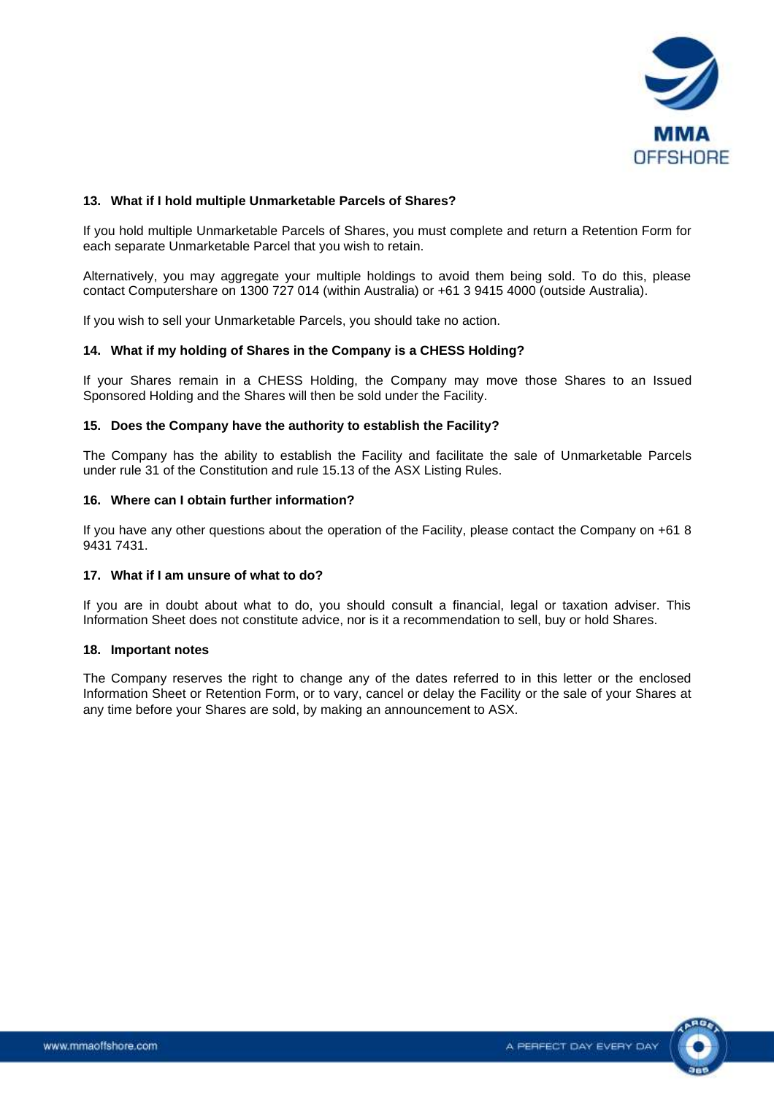

#### **13. What if I hold multiple Unmarketable Parcels of Shares?**

If you hold multiple Unmarketable Parcels of Shares, you must complete and return a Retention Form for each separate Unmarketable Parcel that you wish to retain.

Alternatively, you may aggregate your multiple holdings to avoid them being sold. To do this, please contact Computershare on 1300 727 014 (within Australia) or +61 3 9415 4000 (outside Australia).

If you wish to sell your Unmarketable Parcels, you should take no action.

#### **14. What if my holding of Shares in the Company is a CHESS Holding?**

If your Shares remain in a CHESS Holding, the Company may move those Shares to an Issued Sponsored Holding and the Shares will then be sold under the Facility.

#### **15. Does the Company have the authority to establish the Facility?**

The Company has the ability to establish the Facility and facilitate the sale of Unmarketable Parcels under rule 31 of the Constitution and rule 15.13 of the ASX Listing Rules.

#### **16. Where can I obtain further information?**

If you have any other questions about the operation of the Facility, please contact the Company on +61 8 9431 7431.

#### **17. What if I am unsure of what to do?**

If you are in doubt about what to do, you should consult a financial, legal or taxation adviser. This Information Sheet does not constitute advice, nor is it a recommendation to sell, buy or hold Shares.

#### **18. Important notes**

The Company reserves the right to change any of the dates referred to in this letter or the enclosed Information Sheet or Retention Form, or to vary, cancel or delay the Facility or the sale of your Shares at any time before your Shares are sold, by making an announcement to ASX.

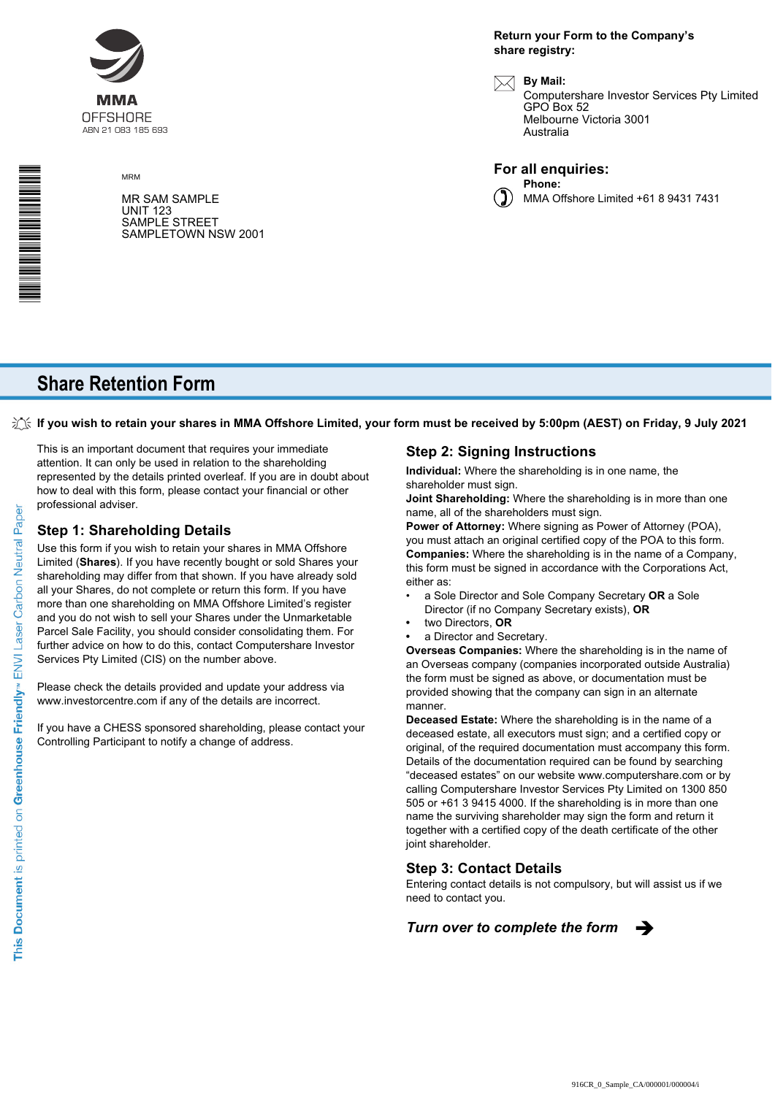

MRM

MR SAM SAMPLE UNIT 123 SAMPLE STREET SAMPLETOWN NSW 2001 **Return your Form to the Company's share registry:**

**By Mail:**

Computershare Investor Services Pty Limited GPO Box 52 Melbourne Victoria 3001 Australia





MMA Offshore Limited +61 8 9431 7431

# **Share Retention Form**

**If you wish to retain your shares in MMA Offshore Limited, your form must be received by 5:00pm (AEST) on Friday, 9 July 2021**

This is an important document that requires your immediate attention. It can only be used in relation to the shareholding represented by the details printed overleaf. If you are in doubt about how to deal with this form, please contact your financial or other professional adviser.

#### **Step 1: Shareholding Details**

Use this form if you wish to retain your shares in MMA Offshore Limited (**Shares**). If you have recently bought or sold Shares your shareholding may differ from that shown. If you have already sold all your Shares, do not complete or return this form. If you have more than one shareholding on MMA Offshore Limited's register and you do not wish to sell your Shares under the Unmarketable Parcel Sale Facility, you should consider consolidating them. For further advice on how to do this, contact Computershare Investor Services Pty Limited (CIS) on the number above.

Please check the details provided and update your address via www.investorcentre.com if any of the details are incorrect.

If you have a CHESS sponsored shareholding, please contact your Controlling Participant to notify a change of address.

#### **Step 2: Signing Instructions**

**Individual:** Where the shareholding is in one name, the shareholder must sign.

**Joint Shareholding:** Where the shareholding is in more than one name, all of the shareholders must sign.

**Power of Attorney:** Where signing as Power of Attorney (POA), you must attach an original certified copy of the POA to this form. **Companies:** Where the shareholding is in the name of a Company, this form must be signed in accordance with the Corporations Act, either as:

- a Sole Director and Sole Company Secretary **OR** a Sole Director (if no Company Secretary exists), **OR**
- **•** two Directors, **OR**
- **•** a Director and Secretary.

**Overseas Companies:** Where the shareholding is in the name of an Overseas company (companies incorporated outside Australia) the form must be signed as above, or documentation must be provided showing that the company can sign in an alternate manner.

**Deceased Estate:** Where the shareholding is in the name of a deceased estate, all executors must sign; and a certified copy or original, of the required documentation must accompany this form. Details of the documentation required can be found by searching "deceased estates" on our website www.computershare.com or by calling Computershare Investor Services Pty Limited on 1300 850 505 or +61 3 9415 4000. If the shareholding is in more than one name the surviving shareholder may sign the form and return it together with a certified copy of the death certificate of the other joint shareholder.

#### **Step 3: Contact Details**

Entering contact details is not compulsory, but will assist us if we need to contact you.

*Turn over to complete the form*  $\rightarrow$ 



\* M00001<br>1990 - Andrew March 1990 - Andrew March 1990 - Andrew March 1990 - Andrew March 1990 - Andrew March 19<br>1990 - Andrew March 1990 - Andrew March 1990 - Andrew March 1990 - Andrew March 1990 - Andrew March 1990 - An